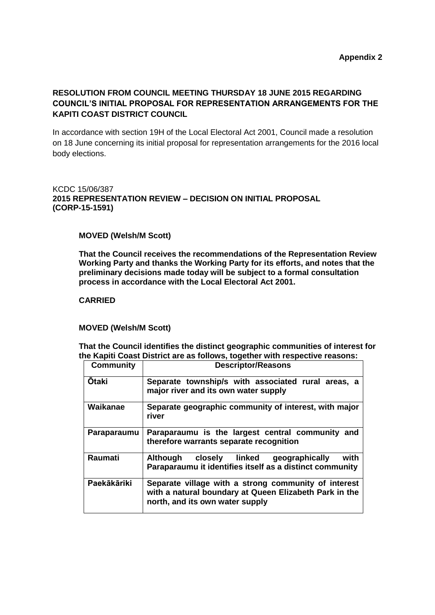# **RESOLUTION FROM COUNCIL MEETING THURSDAY 18 JUNE 2015 REGARDING COUNCIL'S INITIAL PROPOSAL FOR REPRESENTATION ARRANGEMENTS FOR THE KAPITI COAST DISTRICT COUNCIL**

In accordance with section 19H of the Local Electoral Act 2001, Council made a resolution on 18 June concerning its initial proposal for representation arrangements for the 2016 local body elections.

## KCDC 15/06/387 **2015 REPRESENTATION REVIEW – DECISION ON INITIAL PROPOSAL (CORP-15-1591)**

#### **MOVED (Welsh/M Scott)**

**That the Council receives the recommendations of the Representation Review Working Party and thanks the Working Party for its efforts, and notes that the preliminary decisions made today will be subject to a formal consultation process in accordance with the Local Electoral Act 2001.**

### **CARRIED**

#### **MOVED (Welsh/M Scott)**

**That the Council identifies the distinct geographic communities of interest for the Kapiti Coast District are as follows, together with respective reasons:**

| <b>Community</b> | <b>Descriptor/Reasons</b>                                                                                                                         |
|------------------|---------------------------------------------------------------------------------------------------------------------------------------------------|
| <b>Otaki</b>     | Separate township/s with associated rural areas, a<br>major river and its own water supply                                                        |
| Waikanae         | Separate geographic community of interest, with major<br>river                                                                                    |
| Paraparaumu      | Paraparaumu is the largest central community<br>and<br>therefore warrants separate recognition                                                    |
| Raumati          | Although closely linked<br>geographically<br>with<br>Paraparaumu it identifies itself as a distinct community                                     |
| Paekākāriki      | Separate village with a strong community of interest<br>with a natural boundary at Queen Elizabeth Park in the<br>north, and its own water supply |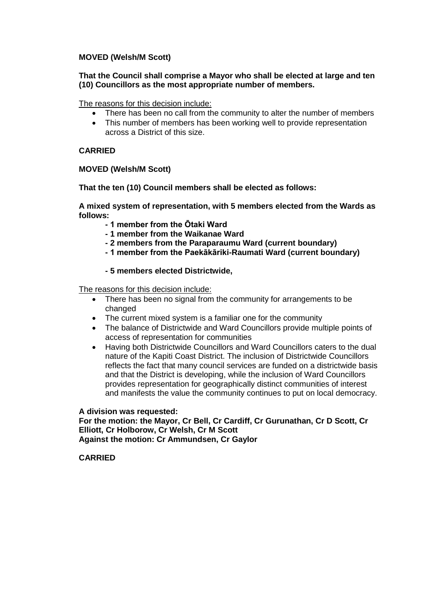### **MOVED (Welsh/M Scott)**

### **That the Council shall comprise a Mayor who shall be elected at large and ten (10) Councillors as the most appropriate number of members.**

The reasons for this decision include:

- There has been no call from the community to alter the number of members
- This number of members has been working well to provide representation across a District of this size.

## **CARRIED**

### **MOVED (Welsh/M Scott)**

**That the ten (10) Council members shall be elected as follows:**

**A mixed system of representation, with 5 members elected from the Wards as follows:**

- **- 1 member from the Ōtaki Ward**
- **- 1 member from the Waikanae Ward**
- **- 2 members from the Paraparaumu Ward (current boundary)**
- **- 1 member from the Paekākāriki-Raumati Ward (current boundary)**

### **- 5 members elected Districtwide,**

The reasons for this decision include:

- There has been no signal from the community for arrangements to be changed
- The current mixed system is a familiar one for the community
- The balance of Districtwide and Ward Councillors provide multiple points of access of representation for communities
- Having both Districtwide Councillors and Ward Councillors caters to the dual nature of the Kapiti Coast District. The inclusion of Districtwide Councillors reflects the fact that many council services are funded on a districtwide basis and that the District is developing, while the inclusion of Ward Councillors provides representation for geographically distinct communities of interest and manifests the value the community continues to put on local democracy.

#### **A division was requested:**

**For the motion: the Mayor, Cr Bell, Cr Cardiff, Cr Gurunathan, Cr D Scott, Cr Elliott, Cr Holborow, Cr Welsh, Cr M Scott Against the motion: Cr Ammundsen, Cr Gaylor**

#### **CARRIED**